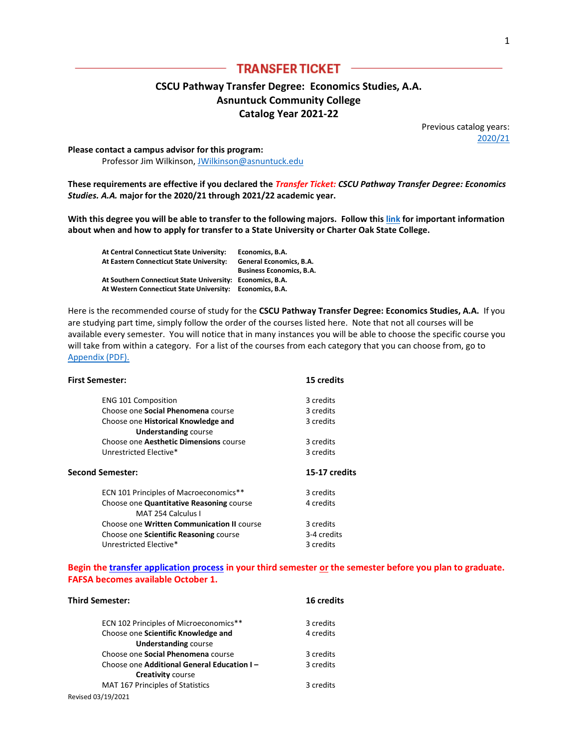# **TRANSFER TICKET**

## **CSCU Pathway Transfer Degree: Economics Studies, A.A. Asnuntuck Community College Catalog Year 2021-22**

Previous catalog years: [2020/21](http://www.ct.edu/files/tap/ECN.ACC.2020.pdf)

**Please contact a campus advisor for this program:**  Professor Jim Wilkinson[, JWilkinson@asnuntuck.edu](mailto:JWilkinson@asnuntuck.edu)

**These requirements are effective if you declared the** *Transfer Ticket: CSCU Pathway Transfer Degree: Economics Studies. A.A.* **major for the 2020/21 through 2021/22 academic year.**

**With this degree you will be able to transfer to the following majors. Follow thi[s link](http://www.ct.edu/files/pdfs/Timeline%20for%20Priority%20Registration.pdf) for important information about when and how to apply for transfer to a State University or Charter Oak State College.**

| At Central Connecticut State University:                  | Economics. B.A.                 |
|-----------------------------------------------------------|---------------------------------|
| At Eastern Connecticut State University:                  | General Economics, B.A.         |
|                                                           | <b>Business Economics, B.A.</b> |
| At Southern Connecticut State University: Economics, B.A. |                                 |
| At Western Connecticut State University: Economics, B.A.  |                                 |

Here is the recommended course of study for the **CSCU Pathway Transfer Degree: Economics Studies, A.A.** If you are studying part time, simply follow the order of the courses listed here. Note that not all courses will be available every semester. You will notice that in many instances you will be able to choose the specific course you will take from within a category. For a list of the courses from each category that you can choose from, go to [Appendix \(PDF\).](http://www.ct.edu/files/tap/ACC-Appendix-1.pdf)

| <b>First Semester:</b>                     | <b>15 credits</b> |
|--------------------------------------------|-------------------|
| <b>ENG 101 Composition</b>                 | 3 credits         |
| Choose one <b>Social Phenomena</b> course  | 3 credits         |
| Choose one Historical Knowledge and        | 3 credits         |
| <b>Understanding course</b>                |                   |
| Choose one Aesthetic Dimensions course     | 3 credits         |
| Unrestricted Elective*                     | 3 credits         |
|                                            |                   |
| <b>Second Semester:</b>                    | 15-17 credits     |
| ECN 101 Principles of Macroeconomics**     | 3 credits         |
| Choose one Quantitative Reasoning course   | 4 credits         |
| MAT 254 Calculus I                         |                   |
| Choose one Written Communication II course | 3 credits         |
| Choose one Scientific Reasoning course     | 3-4 credits       |

### **Begin th[e transfer application process](http://www.ct.edu/files/pdfs/Timeline%20for%20Priority%20Registration.pdf) in your third semester or the semester before you plan to graduate. FAFSA becomes available October 1.**

| <b>Third Semester:</b>                     | <b>16 credits</b> |
|--------------------------------------------|-------------------|
| ECN 102 Principles of Microeconomics**     | 3 credits         |
| Choose one Scientific Knowledge and        | 4 credits         |
| <b>Understanding course</b>                |                   |
| Choose one <b>Social Phenomena</b> course  | 3 credits         |
| Choose one Additional General Education I- | 3 credits         |
| <b>Creativity course</b>                   |                   |
| MAT 167 Principles of Statistics           | 3 credits         |
| Revised 03/19/2021                         |                   |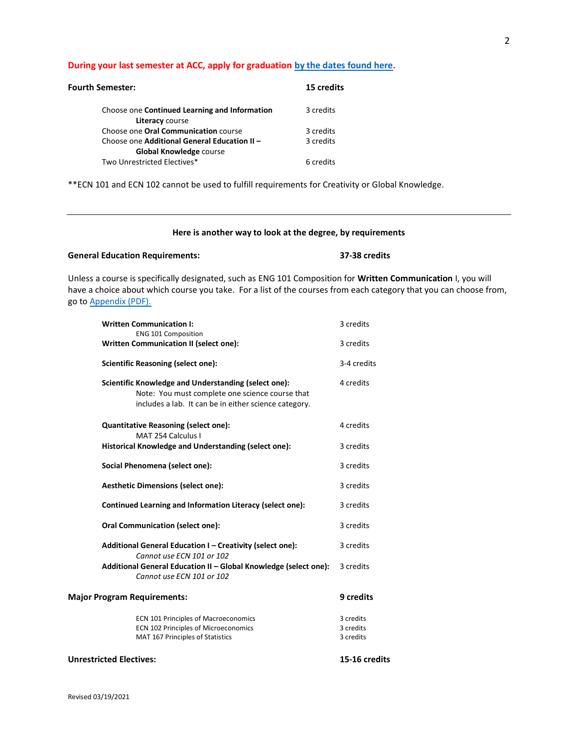#### **During your last semester at ACC, apply for graduation [by the dates found here.](http://www.asnuntuck.edu/graduation)**

| <b>Fourth Semester:</b>                                                        | 15 credits |
|--------------------------------------------------------------------------------|------------|
| Choose one Continued Learning and Information<br>Literacy course               | 3 credits  |
| Choose one <b>Oral Communication</b> course                                    | 3 credits  |
| Choose one Additional General Education II -<br><b>Global Knowledge course</b> | 3 credits  |
| Two Unrestricted Electives*                                                    | 6 credits  |

\*\*ECN 101 and ECN 102 cannot be used to fulfill requirements for Creativity or Global Knowledge.

#### **Here is another way to look at the degree, by requirements**

### **General Education Requirements: 37-38 credits**

Unless a course is specifically designated, such as ENG 101 Composition for **Written Communication** I, you will have a choice about which course you take. For a list of the courses from each category that you can choose from, go to [Appendix \(PDF\).](http://www.ct.edu/files/tap/ACC-Appendix-1.pdf)

| <b>Written Communication I:</b><br><b>ENG 101 Composition</b>                                                                                                    | 3 credits                           |
|------------------------------------------------------------------------------------------------------------------------------------------------------------------|-------------------------------------|
| Written Communication II (select one):                                                                                                                           | 3 credits                           |
| <b>Scientific Reasoning (select one):</b>                                                                                                                        | 3-4 credits                         |
| Scientific Knowledge and Understanding (select one):<br>Note: You must complete one science course that<br>includes a lab. It can be in either science category. | 4 credits                           |
| <b>Quantitative Reasoning (select one):</b><br>MAT 254 Calculus I                                                                                                | 4 credits                           |
| Historical Knowledge and Understanding (select one):                                                                                                             | 3 credits                           |
| Social Phenomena (select one):                                                                                                                                   | 3 credits                           |
| <b>Aesthetic Dimensions (select one):</b>                                                                                                                        | 3 credits                           |
| Continued Learning and Information Literacy (select one):                                                                                                        | 3 credits                           |
| <b>Oral Communication (select one):</b>                                                                                                                          | 3 credits                           |
| Additional General Education I - Creativity (select one):<br>Cannot use ECN 101 or 102                                                                           | 3 credits                           |
| Additional General Education II - Global Knowledge (select one):<br>Cannot use ECN 101 or 102                                                                    | 3 credits                           |
| <b>Major Program Requirements:</b>                                                                                                                               | 9 credits                           |
| ECN 101 Principles of Macroeconomics<br>ECN 102 Principles of Microeconomics<br>MAT 167 Principles of Statistics                                                 | 3 credits<br>3 credits<br>3 credits |
| <b>Unrestricted Electives:</b>                                                                                                                                   | 15-16 credits                       |